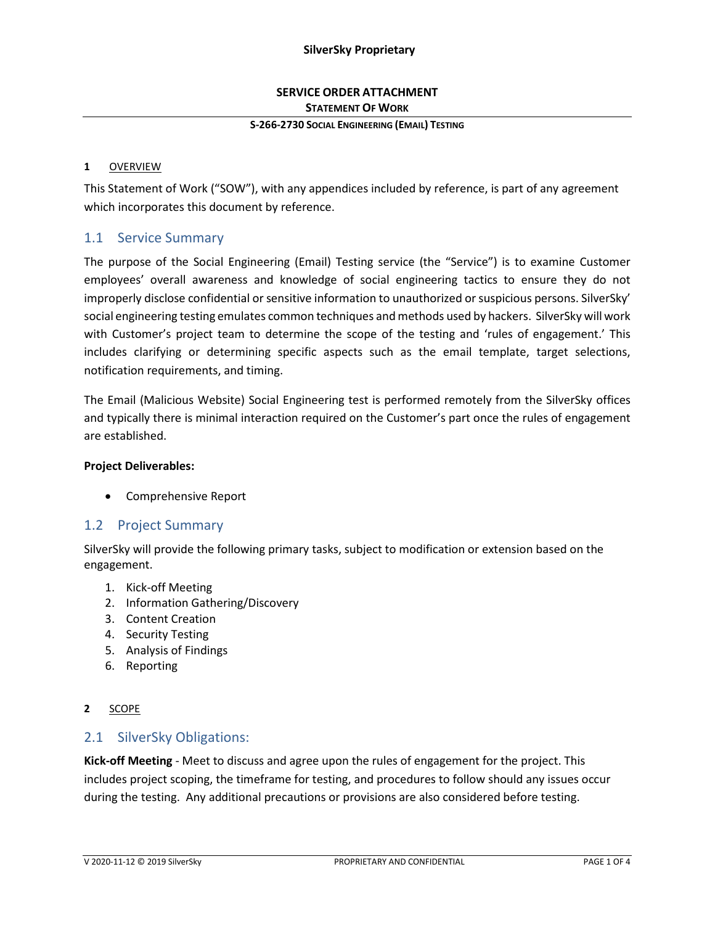## **SERVICE ORDER ATTACHMENT STATEMENT OF WORK**

#### **S-266-2730 SOCIAL ENGINEERING (EMAIL) TESTING**

#### **1** OVERVIEW

This Statement of Work ("SOW"), with any appendices included by reference, is part of any agreement which incorporates this document by reference.

## 1.1 Service Summary

The purpose of the Social Engineering (Email) Testing service (the "Service") is to examine Customer employees' overall awareness and knowledge of social engineering tactics to ensure they do not improperly disclose confidential or sensitive information to unauthorized or suspicious persons. SilverSky' social engineering testing emulates common techniques and methods used by hackers. SilverSky will work with Customer's project team to determine the scope of the testing and 'rules of engagement.' This includes clarifying or determining specific aspects such as the email template, target selections, notification requirements, and timing.

The Email (Malicious Website) Social Engineering test is performed remotely from the SilverSky offices and typically there is minimal interaction required on the Customer's part once the rules of engagement are established.

#### **Project Deliverables:**

• Comprehensive Report

### 1.2 Project Summary

SilverSky will provide the following primary tasks, subject to modification or extension based on the engagement.

- 1. Kick-off Meeting
- 2. Information Gathering/Discovery
- 3. Content Creation
- 4. Security Testing
- 5. Analysis of Findings
- 6. Reporting

#### **2** SCOPE

### 2.1 SilverSky Obligations:

**Kick-off Meeting** - Meet to discuss and agree upon the rules of engagement for the project. This includes project scoping, the timeframe for testing, and procedures to follow should any issues occur during the testing. Any additional precautions or provisions are also considered before testing.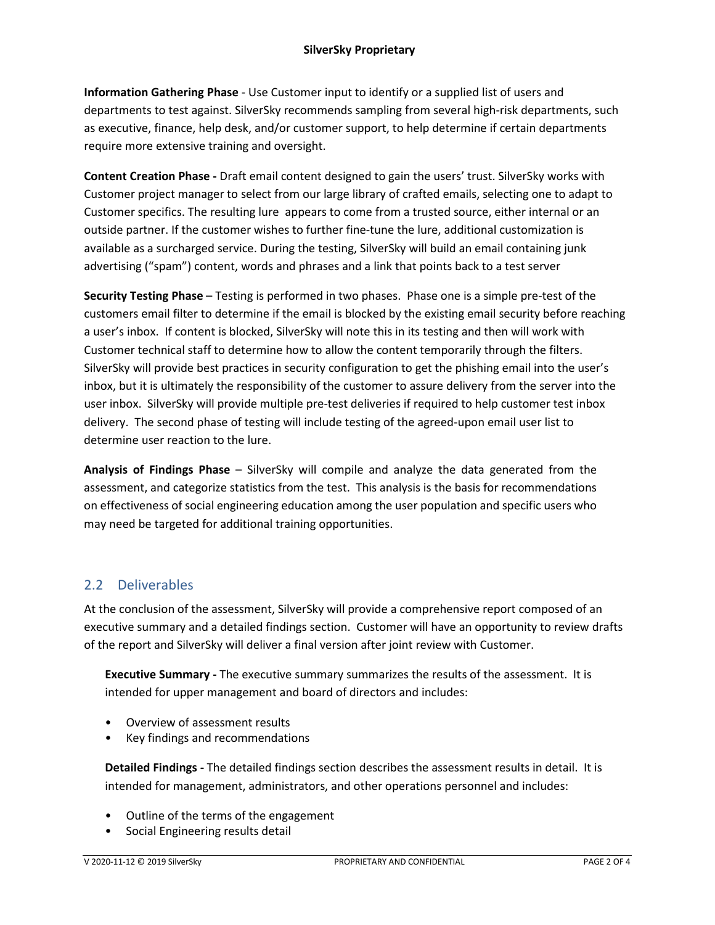**Information Gathering Phase** - Use Customer input to identify or a supplied list of users and departments to test against. SilverSky recommends sampling from several high-risk departments, such as executive, finance, help desk, and/or customer support, to help determine if certain departments require more extensive training and oversight.

**Content Creation Phase -** Draft email content designed to gain the users' trust. SilverSky works with Customer project manager to select from our large library of crafted emails, selecting one to adapt to Customer specifics. The resulting lure appears to come from a trusted source, either internal or an outside partner. If the customer wishes to further fine-tune the lure, additional customization is available as a surcharged service. During the testing, SilverSky will build an email containing junk advertising ("spam") content, words and phrases and a link that points back to a test server

**Security Testing Phase** – Testing is performed in two phases. Phase one is a simple pre-test of the customers email filter to determine if the email is blocked by the existing email security before reaching a user's inbox. If content is blocked, SilverSky will note this in its testing and then will work with Customer technical staff to determine how to allow the content temporarily through the filters. SilverSky will provide best practices in security configuration to get the phishing email into the user's inbox, but it is ultimately the responsibility of the customer to assure delivery from the server into the user inbox. SilverSky will provide multiple pre-test deliveries if required to help customer test inbox delivery. The second phase of testing will include testing of the agreed-upon email user list to determine user reaction to the lure.

**Analysis of Findings Phase** – SilverSky will compile and analyze the data generated from the assessment, and categorize statistics from the test. This analysis is the basis for recommendations on effectiveness of social engineering education among the user population and specific users who may need be targeted for additional training opportunities.

# 2.2 Deliverables

At the conclusion of the assessment, SilverSky will provide a comprehensive report composed of an executive summary and a detailed findings section. Customer will have an opportunity to review drafts of the report and SilverSky will deliver a final version after joint review with Customer.

**Executive Summary -** The executive summary summarizes the results of the assessment. It is intended for upper management and board of directors and includes:

- Overview of assessment results
- Key findings and recommendations

**Detailed Findings -** The detailed findings section describes the assessment results in detail. It is intended for management, administrators, and other operations personnel and includes:

- Outline of the terms of the engagement
- Social Engineering results detail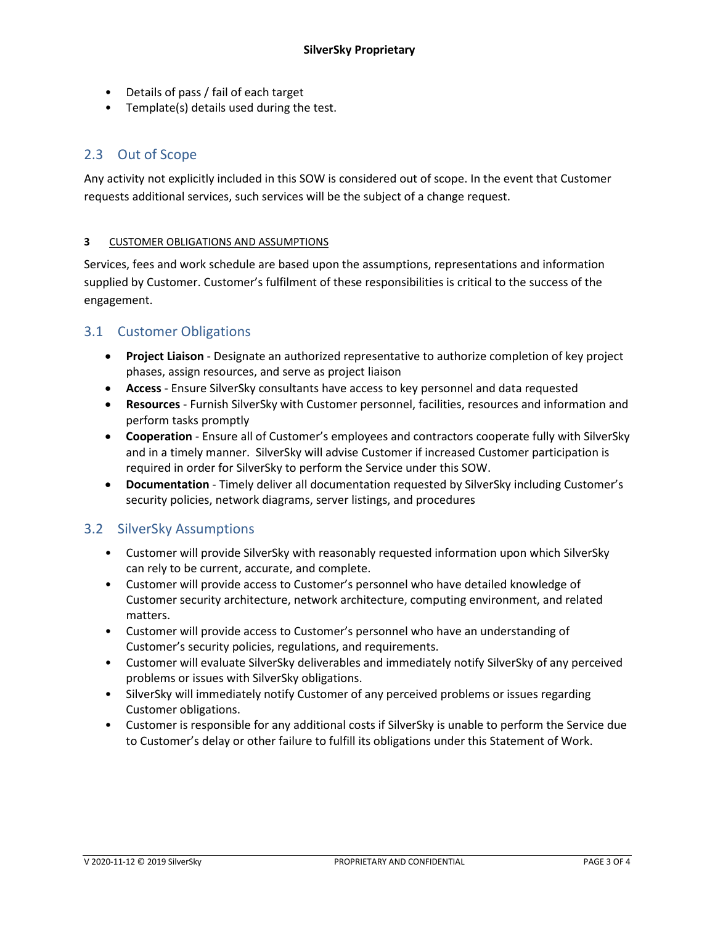- Details of pass / fail of each target
- Template(s) details used during the test.

# 2.3 Out of Scope

Any activity not explicitly included in this SOW is considered out of scope. In the event that Customer requests additional services, such services will be the subject of a change request.

### **3** CUSTOMER OBLIGATIONS AND ASSUMPTIONS

Services, fees and work schedule are based upon the assumptions, representations and information supplied by Customer. Customer's fulfilment of these responsibilities is critical to the success of the engagement.

## 3.1 Customer Obligations

- **Project Liaison** Designate an authorized representative to authorize completion of key project phases, assign resources, and serve as project liaison
- **Access**  Ensure SilverSky consultants have access to key personnel and data requested
- **Resources** Furnish SilverSky with Customer personnel, facilities, resources and information and perform tasks promptly
- **Cooperation** Ensure all of Customer's employees and contractors cooperate fully with SilverSky and in a timely manner. SilverSky will advise Customer if increased Customer participation is required in order for SilverSky to perform the Service under this SOW.
- **Documentation** Timely deliver all documentation requested by SilverSky including Customer's security policies, network diagrams, server listings, and procedures

## 3.2 SilverSky Assumptions

- Customer will provide SilverSky with reasonably requested information upon which SilverSky can rely to be current, accurate, and complete.
- Customer will provide access to Customer's personnel who have detailed knowledge of Customer security architecture, network architecture, computing environment, and related matters.
- Customer will provide access to Customer's personnel who have an understanding of Customer's security policies, regulations, and requirements.
- Customer will evaluate SilverSky deliverables and immediately notify SilverSky of any perceived problems or issues with SilverSky obligations.
- SilverSky will immediately notify Customer of any perceived problems or issues regarding Customer obligations.
- Customer is responsible for any additional costs if SilverSky is unable to perform the Service due to Customer's delay or other failure to fulfill its obligations under this Statement of Work.